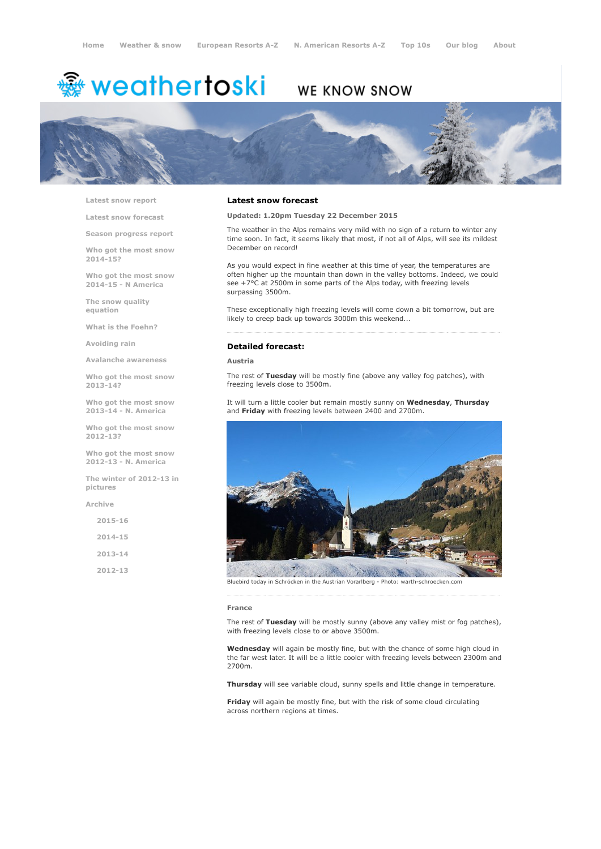# <sup>霧</sup> weathertoski

# WE KNOW SNOW



Latest snow [report](http://www.weathertoski.co.uk/weather-snow/latest-snow-report/)

Latest snow [forecast](http://www.weathertoski.co.uk/weather-snow/latest-snow-forecast/)

Season [progress](http://www.weathertoski.co.uk/weather-snow/season-progress-report/) report

Who got the most snow 2014-15?

Who got the most snow 2014-15 - N America

The snow quality [equation](http://www.weathertoski.co.uk/weather-snow/the-snow-quality-equation/)

What is the [Foehn?](http://www.weathertoski.co.uk/weather-snow/what-is-the-foehn/)

[Avoiding](http://www.weathertoski.co.uk/weather-snow/avoiding-rain/) rain

Avalanche [awareness](http://www.weathertoski.co.uk/weather-snow/avalanche-awareness/)

Who got the most snow 2013-14?

Who got the most snow 2013-14 - N. America

Who got the most snow 2012-13?

Who got the most snow 2012-13 - N. America

The winter of 2012-13 in pictures

[Archive](http://www.weathertoski.co.uk/weather-snow/archive/)

 $2015 - 16$ 2014-15 2013-14 2012-13

### Latest snow forecast

Updated: 1.20pm Tuesday 22 December 2015

The weather in the Alps remains very mild with no sign of a return to winter any time soon. In fact, it seems likely that most, if not all of Alps, will see its mildest December on record!

As you would expect in fine weather at this time of year, the temperatures are often higher up the mountain than down in the valley bottoms. Indeed, we could see +7°C at 2500m in some parts of the Alps today, with freezing levels surpassing 3500m.

These exceptionally high freezing levels will come down a bit tomorrow, but are likely to creep back up towards 3000m this weekend...

#### Detailed forecast:

Austria

The rest of Tuesday will be mostly fine (above any valley fog patches), with freezing levels close to 3500m.

It will turn a little cooler but remain mostly sunny on Wednesday, Thursday and Friday with freezing levels between 2400 and 2700m.



Bluebird today in Schröcken in the Austrian Vorarlberg - Photo: warth-schroecken.com

#### France

The rest of Tuesday will be mostly sunny (above any valley mist or fog patches), with freezing levels close to or above 3500m.

Wednesday will again be mostly fine, but with the chance of some high cloud in the far west later. It will be a little cooler with freezing levels between 2300m and 2700m.

Thursday will see variable cloud, sunny spells and little change in temperature.

Friday will again be mostly fine, but with the risk of some cloud circulating across northern regions at times.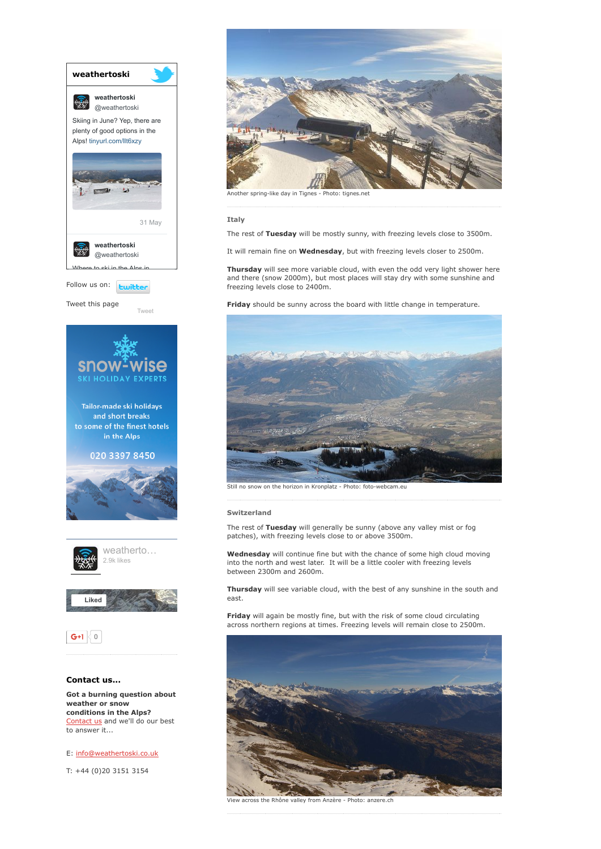

[Contact](http://www.weathertoski.co.uk/about-1/contact-us/) us and we'll do our best to answer it...

E: [info@weathertoski.co.uk](mailto:fraser@weathertoski.co.uk)

T: +44 (0)20 3151 3154



Another spring-like day in Tignes - Photo: tignes.net

**Italy** 

The rest of Tuesday will be mostly sunny, with freezing levels close to 3500m.

It will remain fine on Wednesday, but with freezing levels closer to 2500m.

Thursday will see more variable cloud, with even the odd very light shower here and there (snow 2000m), but most places will stay dry with some sunshine and freezing levels close to 2400m.

Friday should be sunny across the board with little change in temperature.



Still no snow on the horizon in Kronplatz - Photo: foto-webcam.eu

#### Switzerland

The rest of Tuesday will generally be sunny (above any valley mist or fog patches), with freezing levels close to or above 3500m.

Wednesday will continue fine but with the chance of some high cloud moving into the north and west later. It will be a little cooler with freezing levels between 2300m and 2600m.

Thursday will see variable cloud, with the best of any sunshine in the south and east.

Friday will again be mostly fine, but with the risk of some cloud circulating across northern regions at times. Freezing levels will remain close to 2500m.



View across the Rhône valley from Anzère Photo: anzere.ch